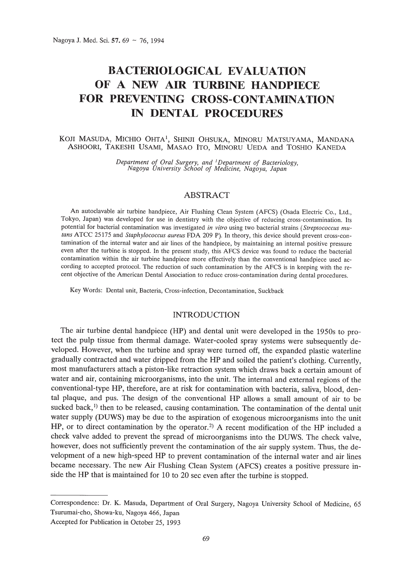# **BACTERIOLOGICAL EVALUATION OF A NEW AIR TURBINE HANDPIECE FOR PREVENTING CROSS-CONTAMINATION IN DENTAL PROCEDURES**

## KOJI MASUDA, MICHIO OHTA1, SHINJI OHSUKA, MINORU MATSUYAMA, MANDANA ASHOORI, TAKESHI VSAMI, MASAO ITO, MINORU VEDA and TOSHIO KANEDA

*Department of Oral Surgery, and* <sup>I</sup> *Department of Bacteriology, Nagoya University School of Medicine, Nagoya, Japan*

## ABSTRACT

An autoclavable air turbine handpiece, Air Flushing Clean System (AFCS) (Osada Electric Co., Ltd., Tokyo, Japan) was developed for use in dentistry with the objective of reducing cross-contamination. Its potential for bacterial contamination was investigated *in vitro* using two bacterial strains *(Streptococcus mutans* ATCC 25175 and *Staphylococcus aureus* FDA 209 P). In theory, this device should prevent cross-contamination of the internal water and air lines of the handpiece, by maintaining an internal positive pressure even after the turbine is stopped. In the present study, this AFCS device was found to reduce the bacterial contamination within the air turbine handpiece more effectively than the conventional handpiece used according to accepted protocol. The reduction of such contamination by the AFCS is in keeping with the recent objective of the American Dental Association to reduce cross-contamination during dental procedures.

Key Words: Dental unit, Bacteria, Cross-infection, Decontamination, Suckback

## INTRODUCTION

The air turbine dental handpiece (HP) and dental unit were developed in the 1950s to protect the pulp tissue from thermal damage. Water-cooled spray systems were subsequently developed. However, when the turbine and spray were turned off, the expanded plastic waterline gradually contracted and water dripped from the HP and soiled the patient's clothing. Currently, most manufacturers attach a piston-like retraction system which draws back a certain amount of water and air, containing microorganisms, into the unit. The internal and external regions of the conventional-type HP, therefore, are at risk for contamination with bacteria, saliva, blood, dental plaque, and pus. The design of the conventional HP allows a small amount of air to be sucked back,<sup> $1$ </sup>) then to be released, causing contamination. The contamination of the dental unit water supply (DUWS) may be due to the aspiration of exogenous microorganisms into the unit HP, or to direct contamination by the operator.<sup>2)</sup> A recent modification of the HP included a check valve added to prevent the spread of microorganisms into the DUWS. The check valve, however, does not sufficiently prevent the contamination of the air supply system. Thus, the development of a new high-speed HP to prevent contamination of the internal water and air lines became necessary. The new Air Flushing Clean System (AFCS) creates a positive pressure inside the HP that is maintained for 10 to 20 sec even after the turbine is stopped.

Correspondence: Dr. K. Masuda, Department of Oral Surgery, Nagoya University School of Medicine, 65 Tsurumai-cho, Showa-ku, Nagoya 466, Japan

Accepted for Publication in October 25, 1993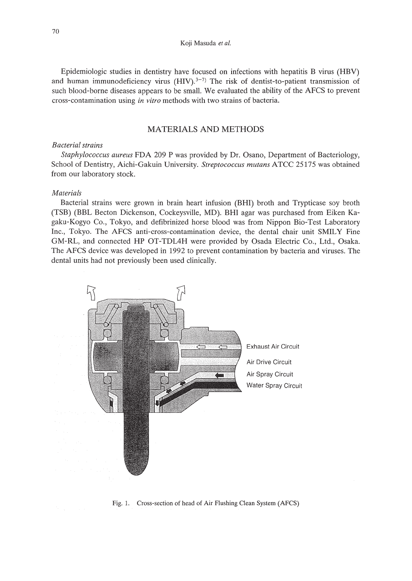Epidemiologic studies in dentistry have focused on infections with hepatitis B virus (HBV) and human immunodeficiency virus  $(HIV).<sup>3-7</sup>$  The risk of dentist-to-patient transmission of such blood-borne diseases appears to be small. We evaluated the ability of the AFCS to prevent cross-contamination using *in vitro* methods with two strains of bacteria.

## MATERIALS AND METHODS

#### *Bacterial strains*

*Staphylococcus aureus* FDA 209 P was provided by Dr. Osano, Department of Bacteriology, School of Dentistry, Aichi-Gakuin University. *Streptococcus mutans* ATCC 25175 was obtained from our laboratory stock.

#### *Materials*

Bacterial strains were grown in brain heart infusion (BHI) broth and Trypticase soy broth (TSB) (BBL Becton Dickenson, Cockeysville, MD). BHI agar was purchased from Eiken Kagaku-Kogyo Co., Tokyo, and defibrinized horse blood was from Nippon Bio-Test Laboratory Inc., Tokyo. The AFCS anti-cross-contamination device, the dental chair unit SMILY Fine GM-RL, and connected HP OT-TDL4H were provided by Osada Electric Co., Ltd., Osaka. The AFCS device was developed in 1992 to prevent contamination by bacteria and viruses. The dental units had not previously been used clinically.



Fig. 1. Cross-section of head of Air Flushing Clean System (AFCS)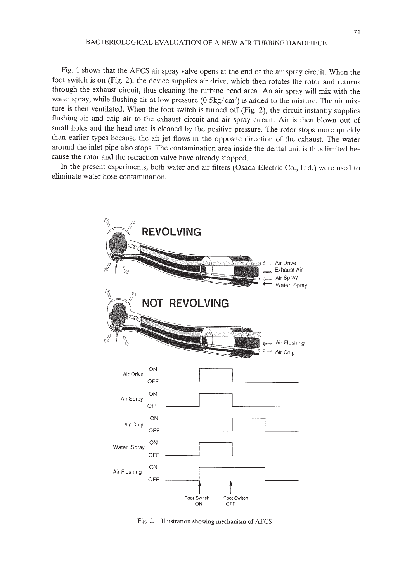Fig. 1 shows that the AFCS air spray valve opens at the end of the air spray circuit. When the foot switch is on (Fig. 2), the device supplies air drive, which then rotates the rotor and returns through the exhaust circuit, thus cleaning the turbine head area. An air spray will mix with the water spray, while flushing air at low pressure  $(0.5\text{kg/cm}^2)$  is added to the mixture. The air mixture is then ventilated. When the foot switch is turned off (Fig. 2), the circuit instantly supplies flushing air and chip air to the exhaust circuit and air spray circuit. Air is then blown out of small holes and the head area is cleaned by the positive pressure. The rotor stops more quickly than earlier types because the air jet flows in the opposite direction of the exhaust. The water around the inlet pipe also stops. The contamination area inside the dental unit is thus limited because the rotor and the retraction valve have already stopped.

**In** the present experiments, both water and air filters (Osada Electric Co., Ltd.) were used to eliminate water hose contamination.



Fig. 2. Illustration showing mechanism of AFCS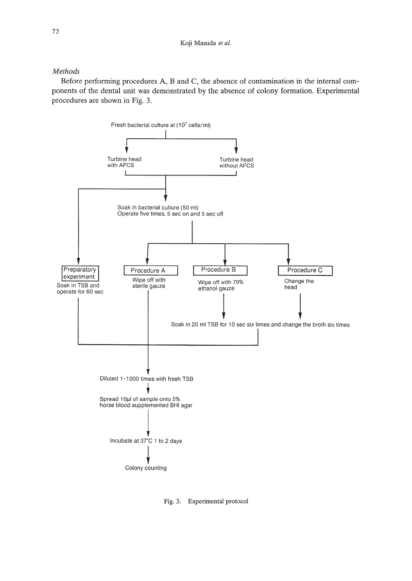## *Methods*

Before performing procedures A, Band C, the absence of contamination in the internal components of the dental unit was demonstrated by the absence of colony formation. Experimental procedures are shown in Fig. 3.



Fig. 3. Experimental protocol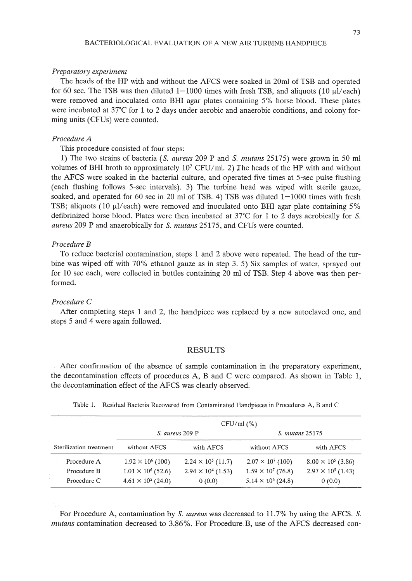#### 73

#### *Preparatory experiment*

The heads of the HP with and without the AFCS were soaked in 20ml of TSB and operated for 60 sec. The TSB was then diluted  $1-1000$  times with fresh TSB, and aliquots (10  $\mu$ l/each) were removed and inoculated onto BHI agar plates containing 5% horse blood. These plates were incubated at 37°C for 1 to 2 days under aerobic and anaerobic conditions, and colony forming units (CFUs) were counted.

## *Procedure A*

This procedure consisted of four steps:

1) The two strains of bacteria *(S. aureus* 209 P and S. *mutans* 25175) were grown in 50 ml volumes of BHI broth to approximately  $10^7$  CFU/ml. 2) The heads of the HP with and without the AFCS were soaked in the bacterial culture, and operated five times at 5-sec pulse flushing (each flushing follows 5-sec intervals). 3) The turbine head was wiped with sterile gauze, soaked, and operated for 60 sec in 20 ml of TSB. 4) TSB was diluted  $1-1000$  times with fresh TSB; aliquots (10  $\mu$ l/each) were removed and inoculated onto BHI agar plate containing 5% defibrinized horse blood. Plates were then incubated at  $37^{\circ}$ C for 1 to 2 days aerobically for S. *aureus* 209 P and anaerobically for S. *mutans* 25175, and CFUs were counted.

#### *Procedure B*

To reduce bacterial contamination, steps 1 and 2 above were repeated. The head of the turbine was wiped off with 70% ethanol gauze as in step 3. 5) Six samples of water, sprayed out for 10 sec each, were collected in bottles containing 20 ml of TSB. Step 4 above was then performed.

## *Procedure* C

After completing steps 1 and 2, the handpiece was replaced by a new autoclaved one, and steps 5 and 4 were again followed.

#### RESULTS

After confirmation of the absence of sample contamination in the preparatory experiment, the decontamination effects of procedures A, Band C were compared. As shown in Table 1, the decontamination effect of the AFCS was clearly observed.

|                         | CFU/ml (%)                |                           |                           |                           |
|-------------------------|---------------------------|---------------------------|---------------------------|---------------------------|
|                         | S. aureus 209 P           |                           | S. mutans 25175           |                           |
| Sterilization treatment | without AFCS              | with AFCS                 | without AFCS              | with AFCS                 |
| Procedure A             | $1.92 \times 10^6$ (100)  | $2.24 \times 10^5$ (11.7) | $2.07 \times 10^7$ (100)  | $8.00 \times 10^5$ (3.86) |
| Procedure B             | $1.01 \times 10^6$ (52.6) | $2.94 \times 10^4$ (1.53) | $1.59 \times 10^7$ (76.8) | $2.97 \times 10^5$ (1.43) |
| Procedure C             | $4.61 \times 10^5$ (24.0) | 0(0.0)                    | $5.14 \times 10^6$ (24.8) | 0(0.0)                    |

Table 1. Residual Bacteria Recovered from Contaminated Handpieces in Procedures A, Band C

For Procedure A, contamination by S. *aureus* was decreased to 11.7% by using the AFCS. S. *mutans* contamination decreased to 3.86%. For Procedure B, use of the AFCS decreased con-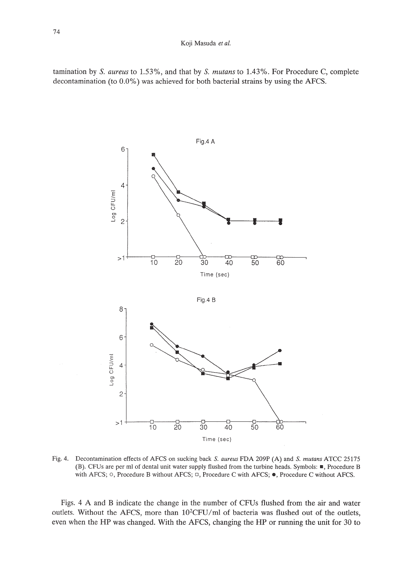#### Koji Masuda *et at.*

tamination by S. *aureus* to 1.53%, and that by S. *mutans* to 1.43%. For Procedure C, complete decontamination (to 0.0%) was achieved for both bacterial strains by using the AFCS.



Fig. 4. Decontamination effects of AFCS on sucking back S. *aureus* FDA 209P (A) and S. *mutans* ATCC 25175 (B). CFUs are per ml of dental unit water supply flushed from the turbine heads. Symbols: **\_,** Procedure B with AFCS; 0, Procedure <sup>B</sup> without AFCS; 0, Procedure <sup>C</sup> with AFCS; **.,** Procedure <sup>C</sup> without AFCS.

Figs. 4 A and B indicate the change in the number of CFUs flushed from the air and water outlets. Without the AFCS, more than  $10^2$ CFU/ml of bacteria was flushed out of the outlets, even when the **HP** was changed. With the AFCS, changing the **HP** or running the unit for 30 to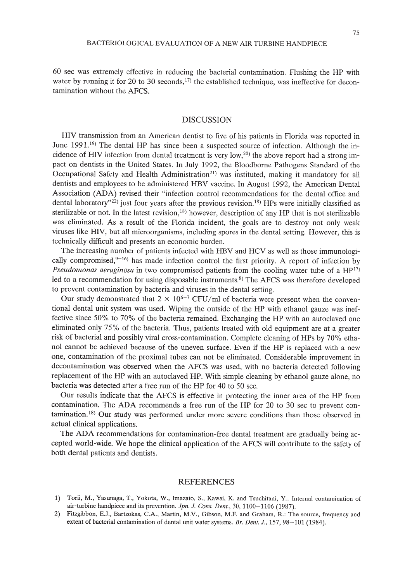60 sec was extremely effective in reducing the bacterial contamination. Flushing the HP with water by running it for 20 to 30 seconds,<sup>17)</sup> the established technique, was ineffective for decontamination without the AFCS.

#### DISCUSSION

HIV transmission from an American dentist to five of his patients in Florida was reported in June 1991.<sup>19)</sup> The dental HP has since been a suspected source of infection. Although the incidence of HIV infection from dental treatment is very low,<sup>20)</sup> the above report had a strong impact on dentists in the United States. In July 1992, the Bloodborne Pathogens Standard of the Occupational Safety and Health Administration<sup>21)</sup> was instituted, making it mandatory for all dentists and employees to be administered HBV vaccine. In August 1992, the American Dental Association (ADA) revised their "infection control recommendations for the dental office and dental laboratory"<sup>22</sup>) just four years after the previous revision.<sup>18)</sup> HPs were initially classified as sterilizable or not. In the latest revision, $18$ ) however, description of any HP that is not sterilizable was eliminated. As a result of the Florida incident, the goals are to destroy not only weak viruses like HIV, but all microorganisms, including spores in the dental setting. However, this is technically difficult and presents an economic burden.

The increasing number of patients infected with HBV and HCY as well as those immunologically compromised, $9-16$ ) has made infection control the first priority. A report of infection by *Pseudomonas aeruginosa* in two compromised patients from the cooling water tube of a HP<sup>17</sup> led to a recommendation for using disposable instruments.<sup>8)</sup> The AFCS was therefore developed to prevent contamination by bacteria and viruses in the dental setting.

Our study demonstrated that  $2 \times 10^{6-7}$  CFU/ml of bacteria were present when the conventional dental unit system was used. Wiping the outside of the HP with ethanol gauze was ineffective since 50% to 70% of the bacteria remained. Exchanging the HP with an autoclaved one eliminated only 75% of the bacteria. Thus, patients treated with old equipment are at a greater risk of bacterial and possibly viral cross-contamination. Complete cleaning of HPs by 70% ethanol cannot be achieved because of the uneven surface. Even if the HP is replaced with a new one, contamination of the proximal tubes can not be eliminated. Considerable improvement in decontamination was observed when the AFCS was used, with no bacteria detected following replacement of the HP with an autoclaved HP. With simple cleaning by ethanol gauze alone, no bacteria was detected after a free run of the HP for 40 to 50 sec.

Our results indicate that the AFCS is effective in protecting the inner area of the HP from contamination. The ADA recommends a free run of the HP for 20 to 30 sec to prevent contamination. 18) Our study was performed under more severe conditions than those observed in actual clinical applications.

The ADA recommendations for contamination-free dental treatment are gradually being accepted world-wide. We hope the clinical application of the AFCS will contribute to the safety of both dental patients and dentists.

#### REFERENCES

- 1) Torii, M., Yasunaga, T., Yokota, W., Imazato, S., Kawai, K. and Tsuchitani, Y.: Internal contamination of air-turbine handpiece and its prevention. *Jpn. J. Cons. Dent.,* 30, 1100-1106 (1987).
- 2) Fitzgibbon, E.J., Bartzokas, CA., Martin, M.V., Gibson, M.F. and Graham, R.: The source, frequency and extent of bacterial contamination of dental unit water systems. *Br. Dent. J.,* 157, 98-101 (1984).